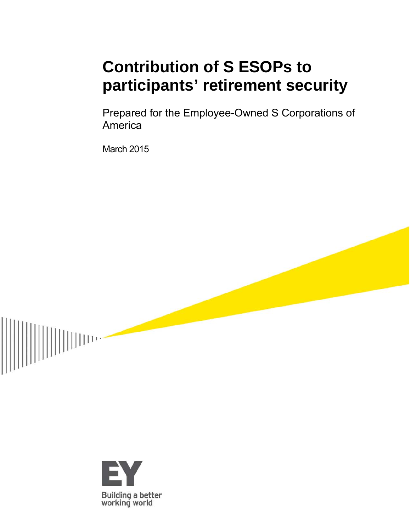# **Contribution of S ESOPs to participants' retirement security**

Prepared for the Employee-Owned S Corporations of America

March 2015



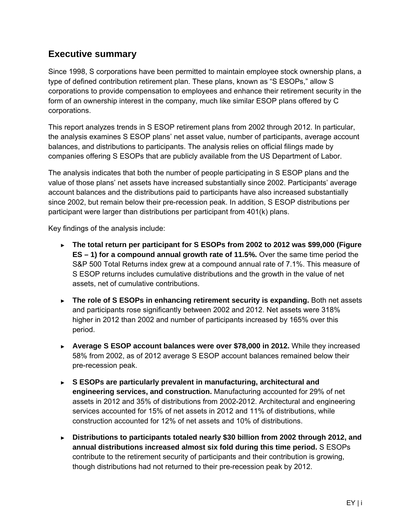## **Executive summary**

Since 1998, S corporations have been permitted to maintain employee stock ownership plans, a type of defined contribution retirement plan. These plans, known as "S ESOPs," allow S corporations to provide compensation to employees and enhance their retirement security in the form of an ownership interest in the company, much like similar ESOP plans offered by C corporations.

This report analyzes trends in S ESOP retirement plans from 2002 through 2012. In particular, the analysis examines S ESOP plans' net asset value, number of participants, average account balances, and distributions to participants. The analysis relies on official filings made by companies offering S ESOPs that are publicly available from the US Department of Labor.

The analysis indicates that both the number of people participating in S ESOP plans and the value of those plans' net assets have increased substantially since 2002. Participants' average account balances and the distributions paid to participants have also increased substantially since 2002, but remain below their pre-recession peak. In addition, S ESOP distributions per participant were larger than distributions per participant from 401(k) plans.

Key findings of the analysis include:

- ► **The total return per participant for S ESOPs from 2002 to 2012 was \$99,000 (Figure ES – 1) for a compound annual growth rate of 11.5%.** Over the same time period the S&P 500 Total Returns index grew at a compound annual rate of 7.1%. This measure of S ESOP returns includes cumulative distributions and the growth in the value of net assets, net of cumulative contributions.
- ► **The role of S ESOPs in enhancing retirement security is expanding.** Both net assets and participants rose significantly between 2002 and 2012. Net assets were 318% higher in 2012 than 2002 and number of participants increased by 165% over this period.
- ► **Average S ESOP account balances were over \$78,000 in 2012.** While they increased 58% from 2002, as of 2012 average S ESOP account balances remained below their pre-recession peak.
- ► **S ESOPs are particularly prevalent in manufacturing, architectural and engineering services, and construction.** Manufacturing accounted for 29% of net assets in 2012 and 35% of distributions from 2002-2012. Architectural and engineering services accounted for 15% of net assets in 2012 and 11% of distributions, while construction accounted for 12% of net assets and 10% of distributions.
- ► **Distributions to participants totaled nearly \$30 billion from 2002 through 2012, and annual distributions increased almost six fold during this time period.** S ESOPs contribute to the retirement security of participants and their contribution is growing, though distributions had not returned to their pre-recession peak by 2012.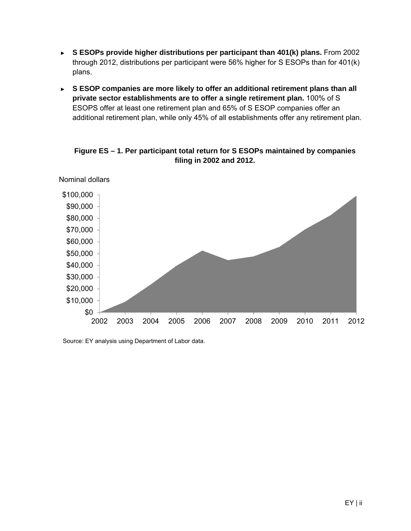- ► **S ESOPs provide higher distributions per participant than 401(k) plans.** From 2002 through 2012, distributions per participant were 56% higher for S ESOPs than for 401(k) plans.
- ► **S ESOP companies are more likely to offer an additional retirement plans than all private sector establishments are to offer a single retirement plan.** 100% of S ESOPS offer at least one retirement plan and 65% of S ESOP companies offer an additional retirement plan, while only 45% of all establishments offer any retirement plan.

\$0 \$10,000 \$20,000 \$30,000 \$40,000 \$50,000 \$60,000 \$70,000 \$80,000 \$90,000 \$100,000 2002 2003 2004 2005 2006 2007 2008 2009 2010 2011 2012 Nominal dollars

**Figure ES – 1. Per participant total return for S ESOPs maintained by companies filing in 2002 and 2012.** 

Source: EY analysis using Department of Labor data.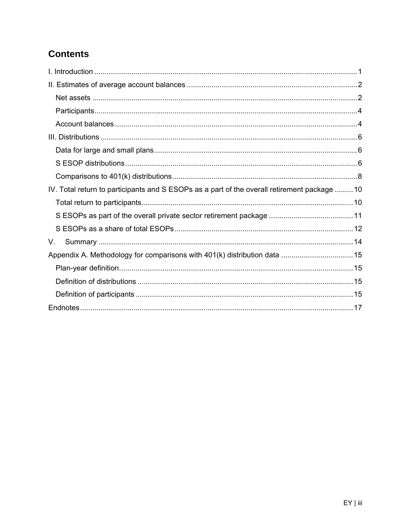# **Contents**

| IV. Total return to participants and S ESOPs as a part of the overall retirement package 10 |  |
|---------------------------------------------------------------------------------------------|--|
|                                                                                             |  |
|                                                                                             |  |
|                                                                                             |  |
| V.                                                                                          |  |
|                                                                                             |  |
|                                                                                             |  |
|                                                                                             |  |
|                                                                                             |  |
|                                                                                             |  |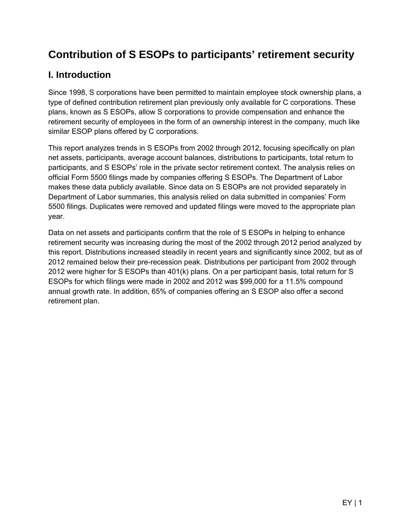# **Contribution of S ESOPs to participants' retirement security**

# **I. Introduction**

Since 1998, S corporations have been permitted to maintain employee stock ownership plans, a type of defined contribution retirement plan previously only available for C corporations. These plans, known as S ESOPs, allow S corporations to provide compensation and enhance the retirement security of employees in the form of an ownership interest in the company, much like similar ESOP plans offered by C corporations.

This report analyzes trends in S ESOPs from 2002 through 2012, focusing specifically on plan net assets, participants, average account balances, distributions to participants, total return to participants, and S ESOPs' role in the private sector retirement context. The analysis relies on official Form 5500 filings made by companies offering S ESOPs. The Department of Labor makes these data publicly available. Since data on S ESOPs are not provided separately in Department of Labor summaries, this analysis relied on data submitted in companies' Form 5500 filings. Duplicates were removed and updated filings were moved to the appropriate plan year.

Data on net assets and participants confirm that the role of S ESOPs in helping to enhance retirement security was increasing during the most of the 2002 through 2012 period analyzed by this report. Distributions increased steadily in recent years and significantly since 2002, but as of 2012 remained below their pre-recession peak. Distributions per participant from 2002 through 2012 were higher for S ESOPs than 401(k) plans. On a per participant basis, total return for S ESOPs for which filings were made in 2002 and 2012 was \$99,000 for a 11.5% compound annual growth rate. In addition, 65% of companies offering an S ESOP also offer a second retirement plan.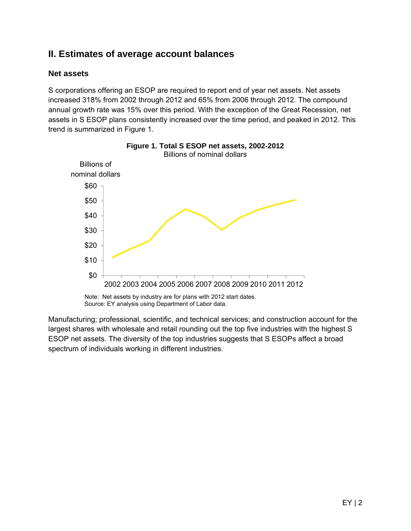## **II. Estimates of average account balances**

#### **Net assets**

S corporations offering an ESOP are required to report end of year net assets. Net assets increased 318% from 2002 through 2012 and 65% from 2006 through 2012. The compound annual growth rate was 15% over this period. With the exception of the Great Recession, net assets in S ESOP plans consistently increased over the time period, and peaked in 2012. This trend is summarized in Figure 1.



**Figure 1. Total S ESOP net assets, 2002-2012** 

Note: Net assets by industry are for plans with 2012 start dates. Source: EY analysis using Department of Labor data.

Manufacturing; professional, scientific, and technical services; and construction account for the largest shares with wholesale and retail rounding out the top five industries with the highest S ESOP net assets. The diversity of the top industries suggests that S ESOPs affect a broad spectrum of individuals working in different industries.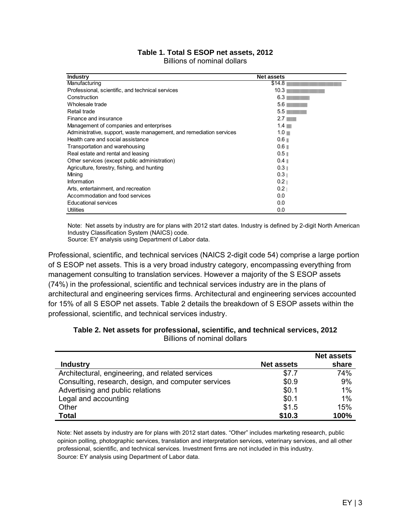| Table 1. Total S ESOP net assets, 2012 |  |
|----------------------------------------|--|
| Billions of nominal dollars            |  |

| <b>Industry</b>                                                     | <b>Net assets</b> |
|---------------------------------------------------------------------|-------------------|
| Manufacturing                                                       | \$14.8            |
| Professional, scientific, and technical services                    | 10.3              |
| Construction                                                        | 6.3               |
| Wholesale trade                                                     | 5.6               |
| Retail trade                                                        | 5.5               |
| Finance and insurance                                               | 2.7 <sub>1</sub>  |
| Management of companies and enterprises                             | 1.4               |
| Administrative, support, waste management, and remediation services | 1.0               |
| Health care and social assistance                                   | 0.6               |
| Transportation and warehousing                                      | 0.6               |
| Real estate and rental and leasing                                  | 0.5               |
| Other services (except public administration)                       | 0.4               |
| Agriculture, forestry, fishing, and hunting                         | 0.3               |
| Mining                                                              | 0.3 <sub>1</sub>  |
| Information                                                         | 0.2 <sub>1</sub>  |
| Arts, entertainment, and recreation                                 | 0.2               |
| Accommodation and food services                                     | 0.0               |
| <b>Educational services</b>                                         | 0.0               |
| Utilities                                                           | 0.0               |

Note: Net assets by industry are for plans with 2012 start dates. Industry is defined by 2-digit North American Industry Classification System (NAICS) code.

Source: EY analysis using Department of Labor data.

Professional, scientific, and technical services (NAICS 2-digit code 54) comprise a large portion of S ESOP net assets. This is a very broad industry category, encompassing everything from management consulting to translation services. However a majority of the S ESOP assets (74%) in the professional, scientific and technical services industry are in the plans of architectural and engineering services firms. Architectural and engineering services accounted for 15% of all S ESOP net assets. Table 2 details the breakdown of S ESOP assets within the professional, scientific, and technical services industry.

|                                                     |                   | <b>Net assets</b> |
|-----------------------------------------------------|-------------------|-------------------|
| <b>Industry</b>                                     | <b>Net assets</b> | share             |
| Architectural, engineering, and related services    | \$7.7             | 74%               |
| Consulting, research, design, and computer services | \$0.9             | 9%                |
| Advertising and public relations                    | \$0.1             | 1%                |
| Legal and accounting                                | \$0.1             | 1%                |
| Other                                               | \$1.5             | 15%               |
| <b>Total</b>                                        | \$10.3            | 100%              |

**Table 2. Net assets for professional, scientific, and technical services, 2012**  Billions of nominal dollars

Note: Net assets by industry are for plans with 2012 start dates. "Other" includes marketing research, public opinion polling, photographic services, translation and interpretation services, veterinary services, and all other professional, scientific, and technical services. Investment firms are not included in this industry. Source: EY analysis using Department of Labor data.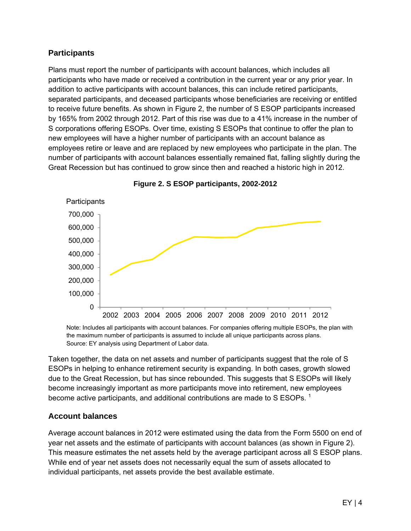#### **Participants**

Plans must report the number of participants with account balances, which includes all participants who have made or received a contribution in the current year or any prior year. In addition to active participants with account balances, this can include retired participants, separated participants, and deceased participants whose beneficiaries are receiving or entitled to receive future benefits. As shown in Figure 2, the number of S ESOP participants increased by 165% from 2002 through 2012. Part of this rise was due to a 41% increase in the number of S corporations offering ESOPs. Over time, existing S ESOPs that continue to offer the plan to new employees will have a higher number of participants with an account balance as employees retire or leave and are replaced by new employees who participate in the plan. The number of participants with account balances essentially remained flat, falling slightly during the Great Recession but has continued to grow since then and reached a historic high in 2012.





Note: Includes all participants with account balances. For companies offering multiple ESOPs, the plan with the maximum number of participants is assumed to include all unique participants across plans. Source: EY analysis using Department of Labor data.

Taken together, the data on net assets and number of participants suggest that the role of S ESOPs in helping to enhance retirement security is expanding. In both cases, growth slowed due to the Great Recession, but has since rebounded. This suggests that S ESOPs will likely become increasingly important as more participants move into retirement, new employees become active participants, and additional contributions are made to S ESOPs.<sup>1</sup>

#### **Account balances**

Average account balances in 2012 were estimated using the data from the Form 5500 on end of year net assets and the estimate of participants with account balances (as shown in Figure 2). This measure estimates the net assets held by the average participant across all S ESOP plans. While end of year net assets does not necessarily equal the sum of assets allocated to individual participants, net assets provide the best available estimate.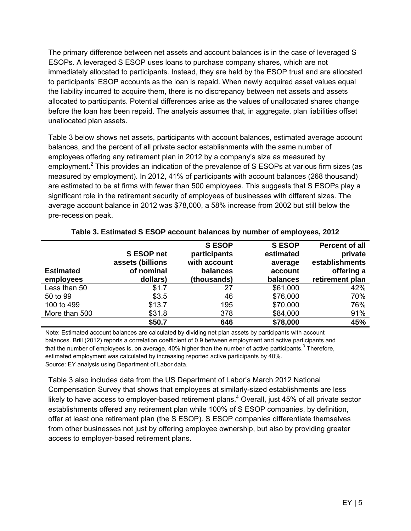The primary difference between net assets and account balances is in the case of leveraged S ESOPs. A leveraged S ESOP uses loans to purchase company shares, which are not immediately allocated to participants. Instead, they are held by the ESOP trust and are allocated to participants' ESOP accounts as the loan is repaid. When newly acquired asset values equal the liability incurred to acquire them, there is no discrepancy between net assets and assets allocated to participants. Potential differences arise as the values of unallocated shares change before the loan has been repaid. The analysis assumes that, in aggregate, plan liabilities offset unallocated plan assets.

Table 3 below shows net assets, participants with account balances, estimated average account balances, and the percent of all private sector establishments with the same number of employees offering any retirement plan in 2012 by a company's size as measured by employment.<sup>2</sup> This provides an indication of the prevalence of S ESOPs at various firm sizes (as measured by employment). In 2012, 41% of participants with account balances (268 thousand) are estimated to be at firms with fewer than 500 employees. This suggests that S ESOPs play a significant role in the retirement security of employees of businesses with different sizes. The average account balance in 2012 was \$78,000, a 58% increase from 2002 but still below the pre-recession peak.

| <b>Estimated</b><br>employees | S ESOP net<br>assets (billions<br>of nominal<br>dollars) | <b>S ESOP</b><br>participants<br>with account<br>balances<br>(thousands) | <b>SESOP</b><br>estimated<br>average<br>account<br>balances | <b>Percent of all</b><br>private<br>establishments<br>offering a<br>retirement plan |
|-------------------------------|----------------------------------------------------------|--------------------------------------------------------------------------|-------------------------------------------------------------|-------------------------------------------------------------------------------------|
| Less than 50                  | \$1.7                                                    | 27                                                                       | \$61,000                                                    | 42%                                                                                 |
| 50 to 99                      | \$3.5                                                    | 46                                                                       | \$76,000                                                    | 70%                                                                                 |
| 100 to 499                    | \$13.7                                                   | 195                                                                      | \$70,000                                                    | 76%                                                                                 |
| More than 500                 | \$31.8                                                   | 378                                                                      | \$84,000                                                    | 91%                                                                                 |
|                               | \$50.7                                                   | 646                                                                      | \$78,000                                                    | 45%                                                                                 |

#### **Table 3. Estimated S ESOP account balances by number of employees, 2012**

Note: Estimated account balances are calculated by dividing net plan assets by participants with account balances. Brill (2012) reports a correlation coefficient of 0.9 between employment and active participants and that the number of employees is, on average, 40% higher than the number of active participants.<sup>3</sup> Therefore, estimated employment was calculated by increasing reported active participants by 40%. Source: EY analysis using Department of Labor data.

Table 3 also includes data from the US Department of Labor's March 2012 National Compensation Survey that shows that employees at similarly-sized establishments are less likely to have access to employer-based retirement plans.<sup>4</sup> Overall, just 45% of all private sector establishments offered any retirement plan while 100% of S ESOP companies, by definition, offer at least one retirement plan (the S ESOP). S ESOP companies differentiate themselves from other businesses not just by offering employee ownership, but also by providing greater access to employer-based retirement plans.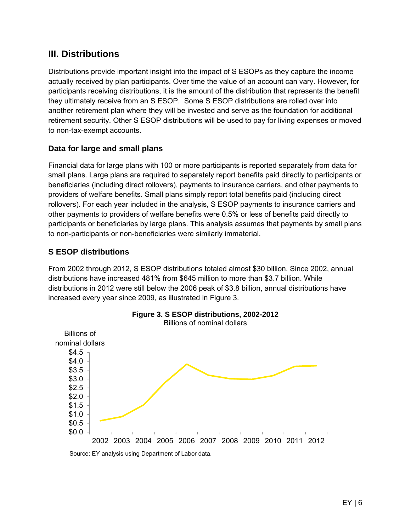## **III. Distributions**

Distributions provide important insight into the impact of S ESOPs as they capture the income actually received by plan participants. Over time the value of an account can vary. However, for participants receiving distributions, it is the amount of the distribution that represents the benefit they ultimately receive from an S ESOP. Some S ESOP distributions are rolled over into another retirement plan where they will be invested and serve as the foundation for additional retirement security. Other S ESOP distributions will be used to pay for living expenses or moved to non-tax-exempt accounts.

#### **Data for large and small plans**

Financial data for large plans with 100 or more participants is reported separately from data for small plans. Large plans are required to separately report benefits paid directly to participants or beneficiaries (including direct rollovers), payments to insurance carriers, and other payments to providers of welfare benefits. Small plans simply report total benefits paid (including direct rollovers). For each year included in the analysis, S ESOP payments to insurance carriers and other payments to providers of welfare benefits were 0.5% or less of benefits paid directly to participants or beneficiaries by large plans. This analysis assumes that payments by small plans to non-participants or non-beneficiaries were similarly immaterial.

#### **S ESOP distributions**

From 2002 through 2012, S ESOP distributions totaled almost \$30 billion. Since 2002, annual distributions have increased 481% from \$645 million to more than \$3.7 billion. While distributions in 2012 were still below the 2006 peak of \$3.8 billion, annual distributions have increased every year since 2009, as illustrated in Figure 3.

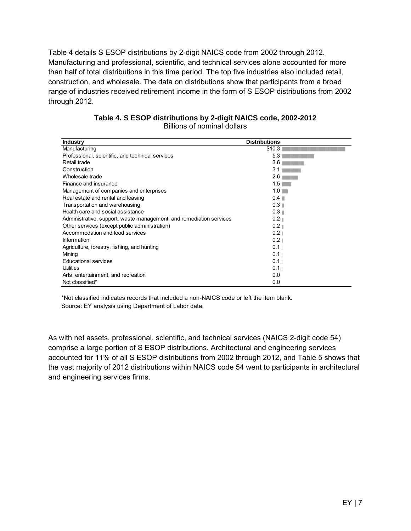Table 4 details S ESOP distributions by 2-digit NAICS code from 2002 through 2012. Manufacturing and professional, scientific, and technical services alone accounted for more than half of total distributions in this time period. The top five industries also included retail, construction, and wholesale. The data on distributions show that participants from a broad range of industries received retirement income in the form of S ESOP distributions from 2002 through 2012.

| <b>Industry</b>                                                     | <b>Distributions</b> |
|---------------------------------------------------------------------|----------------------|
| Manufacturing                                                       | \$10.3               |
| Professional, scientific, and technical services                    | 5.3                  |
| Retail trade                                                        | 3.6                  |
| Construction                                                        | 3.1                  |
| Wholesale trade                                                     | 2.6                  |
| Finance and insurance                                               | 1.5                  |
| Management of companies and enterprises                             | 1.0                  |
| Real estate and rental and leasing                                  | $0.4 \blacksquare$   |
| Transportation and warehousing                                      | 0.3                  |
| Health care and social assistance                                   | 0.3                  |
| Administrative, support, waste management, and remediation services | $0.2 \parallel$      |
| Other services (except public administration)                       | $0.2 \parallel$      |
| Accommodation and food services                                     | 0.2 <sub>1</sub>     |
| Information                                                         | 0.2 <sub>1</sub>     |
| Agriculture, forestry, fishing, and hunting                         | 0.1                  |
| Mining                                                              | 0.1                  |
| <b>Educational services</b>                                         | 0.1                  |
| Utilities                                                           | 0.1                  |
| Arts, entertainment, and recreation                                 | 0.0                  |
| Not classified*                                                     | 0.0                  |

#### **Table 4. S ESOP distributions by 2-digit NAICS code, 2002-2012**  Billions of nominal dollars

 \*Not classified indicates records that included a non-NAICS code or left the item blank. Source: EY analysis using Department of Labor data.

As with net assets, professional, scientific, and technical services (NAICS 2-digit code 54) comprise a large portion of S ESOP distributions. Architectural and engineering services accounted for 11% of all S ESOP distributions from 2002 through 2012, and Table 5 shows that the vast majority of 2012 distributions within NAICS code 54 went to participants in architectural and engineering services firms.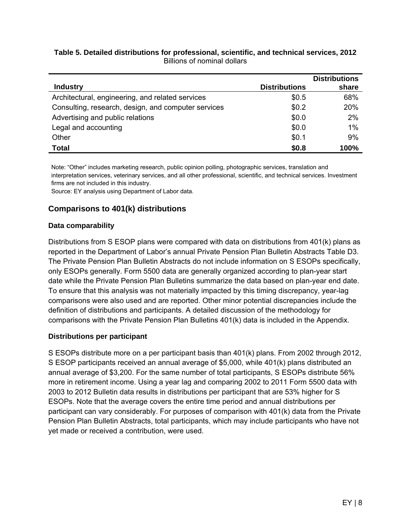#### **Table 5. Detailed distributions for professional, scientific, and technical services, 2012**  Billions of nominal dollars

|                                                     |                      | <b>Distributions</b> |
|-----------------------------------------------------|----------------------|----------------------|
| <b>Industry</b>                                     | <b>Distributions</b> | share                |
| Architectural, engineering, and related services    | \$0.5                | 68%                  |
| Consulting, research, design, and computer services | \$0.2                | 20%                  |
| Advertising and public relations                    | \$0.0                | 2%                   |
| Legal and accounting                                | \$0.0                | 1%                   |
| Other                                               | \$0.1                | 9%                   |
| <b>Total</b>                                        | \$0.8                | 100%                 |

Note: "Other" includes marketing research, public opinion polling, photographic services, translation and interpretation services, veterinary services, and all other professional, scientific, and technical services. Investment firms are not included in this industry.

Source: EY analysis using Department of Labor data.

#### **Comparisons to 401(k) distributions**

#### **Data comparability**

Distributions from S ESOP plans were compared with data on distributions from 401(k) plans as reported in the Department of Labor's annual Private Pension Plan Bulletin Abstracts Table D3. The Private Pension Plan Bulletin Abstracts do not include information on S ESOPs specifically, only ESOPs generally. Form 5500 data are generally organized according to plan-year start date while the Private Pension Plan Bulletins summarize the data based on plan-year end date. To ensure that this analysis was not materially impacted by this timing discrepancy, year-lag comparisons were also used and are reported. Other minor potential discrepancies include the definition of distributions and participants. A detailed discussion of the methodology for comparisons with the Private Pension Plan Bulletins 401(k) data is included in the Appendix.

#### **Distributions per participant**

S ESOPs distribute more on a per participant basis than 401(k) plans. From 2002 through 2012, S ESOP participants received an annual average of \$5,000, while 401(k) plans distributed an annual average of \$3,200. For the same number of total participants, S ESOPs distribute 56% more in retirement income. Using a year lag and comparing 2002 to 2011 Form 5500 data with 2003 to 2012 Bulletin data results in distributions per participant that are 53% higher for S ESOPs. Note that the average covers the entire time period and annual distributions per participant can vary considerably. For purposes of comparison with 401(k) data from the Private Pension Plan Bulletin Abstracts, total participants, which may include participants who have not yet made or received a contribution, were used.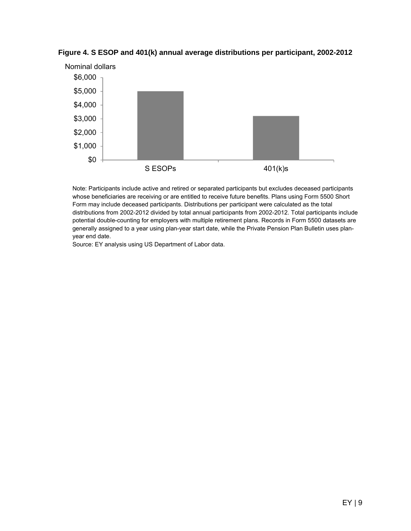

**Figure 4. S ESOP and 401(k) annual average distributions per participant, 2002-2012**

Note: Participants include active and retired or separated participants but excludes deceased participants whose beneficiaries are receiving or are entitled to receive future benefits. Plans using Form 5500 Short Form may include deceased participants. Distributions per participant were calculated as the total distributions from 2002-2012 divided by total annual participants from 2002-2012. Total participants include potential double-counting for employers with multiple retirement plans. Records in Form 5500 datasets are generally assigned to a year using plan-year start date, while the Private Pension Plan Bulletin uses planyear end date.

Source: EY analysis using US Department of Labor data.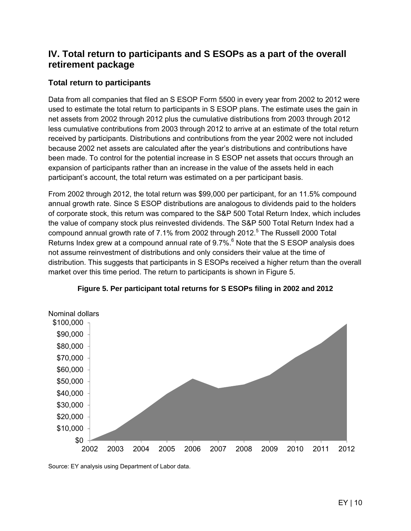## **IV. Total return to participants and S ESOPs as a part of the overall retirement package**

#### **Total return to participants**

Data from all companies that filed an S ESOP Form 5500 in every year from 2002 to 2012 were used to estimate the total return to participants in S ESOP plans. The estimate uses the gain in net assets from 2002 through 2012 plus the cumulative distributions from 2003 through 2012 less cumulative contributions from 2003 through 2012 to arrive at an estimate of the total return received by participants. Distributions and contributions from the year 2002 were not included because 2002 net assets are calculated after the year's distributions and contributions have been made. To control for the potential increase in S ESOP net assets that occurs through an expansion of participants rather than an increase in the value of the assets held in each participant's account, the total return was estimated on a per participant basis.

From 2002 through 2012, the total return was \$99,000 per participant, for an 11.5% compound annual growth rate. Since S ESOP distributions are analogous to dividends paid to the holders of corporate stock, this return was compared to the S&P 500 Total Return Index, which includes the value of company stock plus reinvested dividends. The S&P 500 Total Return Index had a compound annual growth rate of 7.1% from 2002 through 2012.<sup>5</sup> The Russell 2000 Total Returns Index grew at a compound annual rate of  $9.7\%$ .  $6$  Note that the S ESOP analysis does not assume reinvestment of distributions and only considers their value at the time of distribution. This suggests that participants in S ESOPs received a higher return than the overall market over this time period. The return to participants is shown in Figure 5.





Source: EY analysis using Department of Labor data.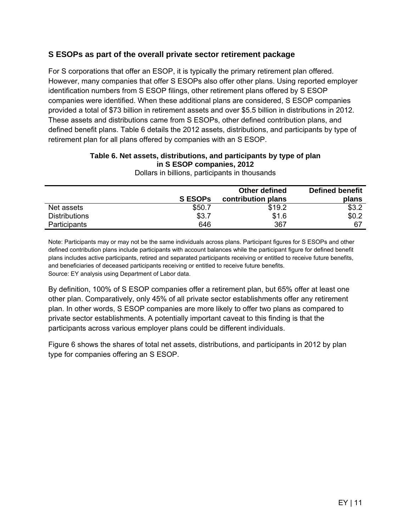#### **S ESOPs as part of the overall private sector retirement package**

For S corporations that offer an ESOP, it is typically the primary retirement plan offered. However, many companies that offer S ESOPs also offer other plans. Using reported employer identification numbers from S ESOP filings, other retirement plans offered by S ESOP companies were identified. When these additional plans are considered, S ESOP companies provided a total of \$73 billion in retirement assets and over \$5.5 billion in distributions in 2012. These assets and distributions came from S ESOPs, other defined contribution plans, and defined benefit plans. Table 6 details the 2012 assets, distributions, and participants by type of retirement plan for all plans offered by companies with an S ESOP.

#### **Table 6. Net assets, distributions, and participants by type of plan in S ESOP companies, 2012**

|                      | <b>SESOPS</b> | Other defined<br>contribution plans | <b>Defined benefit</b><br>plans |
|----------------------|---------------|-------------------------------------|---------------------------------|
| Net assets           | \$50.7        | \$19.2                              | \$3.2                           |
| <b>Distributions</b> | \$3.7         | \$1.6                               | \$0.2                           |
| <b>Participants</b>  | 646           | 367                                 | 67                              |
|                      |               |                                     |                                 |

Dollars in billions, participants in thousands

Note: Participants may or may not be the same individuals across plans. Participant figures for S ESOPs and other defined contribution plans include participants with account balances while the participant figure for defined benefit plans includes active participants, retired and separated participants receiving or entitled to receive future benefits, and beneficiaries of deceased participants receiving or entitled to receive future benefits. Source: EY analysis using Department of Labor data.

By definition, 100% of S ESOP companies offer a retirement plan, but 65% offer at least one other plan. Comparatively, only 45% of all private sector establishments offer any retirement plan. In other words, S ESOP companies are more likely to offer two plans as compared to private sector establishments. A potentially important caveat to this finding is that the participants across various employer plans could be different individuals.

Figure 6 shows the shares of total net assets, distributions, and participants in 2012 by plan type for companies offering an S ESOP.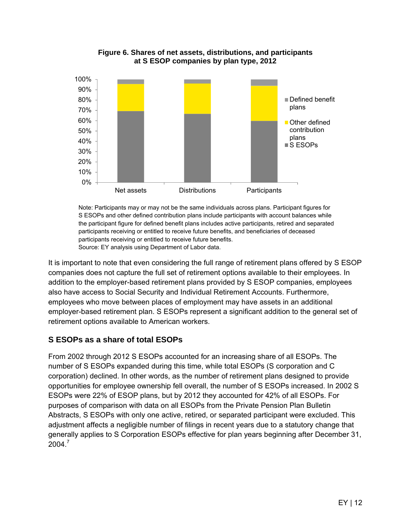

**Figure 6. Shares of net assets, distributions, and participants at S ESOP companies by plan type, 2012** 

Note: Participants may or may not be the same individuals across plans. Participant figures for S ESOPs and other defined contribution plans include participants with account balances while the participant figure for defined benefit plans includes active participants, retired and separated participants receiving or entitled to receive future benefits, and beneficiaries of deceased participants receiving or entitled to receive future benefits. Source: EY analysis using Department of Labor data.

It is important to note that even considering the full range of retirement plans offered by S ESOP companies does not capture the full set of retirement options available to their employees. In addition to the employer-based retirement plans provided by S ESOP companies, employees also have access to Social Security and Individual Retirement Accounts. Furthermore, employees who move between places of employment may have assets in an additional employer-based retirement plan. S ESOPs represent a significant addition to the general set of retirement options available to American workers.

### **S ESOPs as a share of total ESOPs**

From 2002 through 2012 S ESOPs accounted for an increasing share of all ESOPs. The number of S ESOPs expanded during this time, while total ESOPs (S corporation and C corporation) declined. In other words, as the number of retirement plans designed to provide opportunities for employee ownership fell overall, the number of S ESOPs increased. In 2002 S ESOPs were 22% of ESOP plans, but by 2012 they accounted for 42% of all ESOPs. For purposes of comparison with data on all ESOPs from the Private Pension Plan Bulletin Abstracts, S ESOPs with only one active, retired, or separated participant were excluded. This adjustment affects a negligible number of filings in recent years due to a statutory change that generally applies to S Corporation ESOPs effective for plan years beginning after December 31,  $2004.<sup>7</sup>$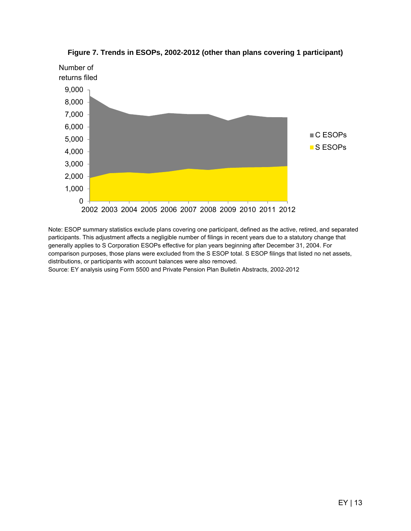

**Figure 7. Trends in ESOPs, 2002-2012 (other than plans covering 1 participant)** 

Note: ESOP summary statistics exclude plans covering one participant, defined as the active, retired, and separated participants. This adjustment affects a negligible number of filings in recent years due to a statutory change that generally applies to S Corporation ESOPs effective for plan years beginning after December 31, 2004. For comparison purposes, those plans were excluded from the S ESOP total. S ESOP filings that listed no net assets, distributions, or participants with account balances were also removed.

Source: EY analysis using Form 5500 and Private Pension Plan Bulletin Abstracts, 2002-2012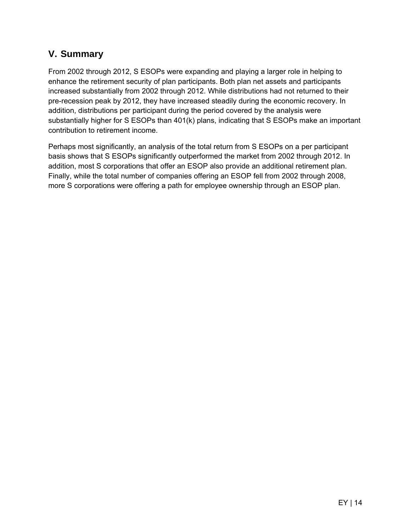# **V. Summary**

From 2002 through 2012, S ESOPs were expanding and playing a larger role in helping to enhance the retirement security of plan participants. Both plan net assets and participants increased substantially from 2002 through 2012. While distributions had not returned to their pre-recession peak by 2012, they have increased steadily during the economic recovery. In addition, distributions per participant during the period covered by the analysis were substantially higher for S ESOPs than 401(k) plans, indicating that S ESOPs make an important contribution to retirement income.

Perhaps most significantly, an analysis of the total return from S ESOPs on a per participant basis shows that S ESOPs significantly outperformed the market from 2002 through 2012. In addition, most S corporations that offer an ESOP also provide an additional retirement plan. Finally, while the total number of companies offering an ESOP fell from 2002 through 2008, more S corporations were offering a path for employee ownership through an ESOP plan.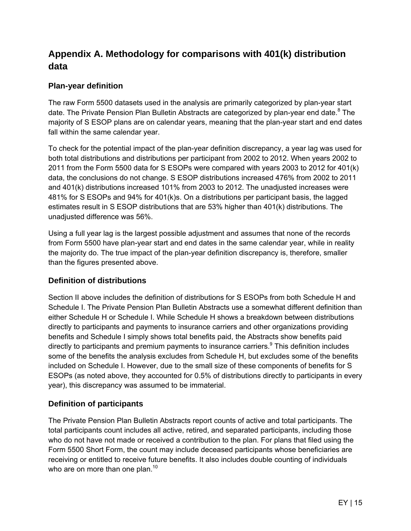# **Appendix A. Methodology for comparisons with 401(k) distribution data**

#### **Plan-year definition**

The raw Form 5500 datasets used in the analysis are primarily categorized by plan-year start date. The Private Pension Plan Bulletin Abstracts are categorized by plan-year end date.<sup>8</sup> The majority of S ESOP plans are on calendar years, meaning that the plan-year start and end dates fall within the same calendar year.

To check for the potential impact of the plan-year definition discrepancy, a year lag was used for both total distributions and distributions per participant from 2002 to 2012. When years 2002 to 2011 from the Form 5500 data for S ESOPs were compared with years 2003 to 2012 for 401(k) data, the conclusions do not change. S ESOP distributions increased 476% from 2002 to 2011 and 401(k) distributions increased 101% from 2003 to 2012. The unadjusted increases were 481% for S ESOPs and 94% for 401(k)s. On a distributions per participant basis, the lagged estimates result in S ESOP distributions that are 53% higher than 401(k) distributions. The unadjusted difference was 56%.

Using a full year lag is the largest possible adjustment and assumes that none of the records from Form 5500 have plan-year start and end dates in the same calendar year, while in reality the majority do. The true impact of the plan-year definition discrepancy is, therefore, smaller than the figures presented above.

#### **Definition of distributions**

Section II above includes the definition of distributions for S ESOPs from both Schedule H and Schedule I. The Private Pension Plan Bulletin Abstracts use a somewhat different definition than either Schedule H or Schedule I. While Schedule H shows a breakdown between distributions directly to participants and payments to insurance carriers and other organizations providing benefits and Schedule I simply shows total benefits paid, the Abstracts show benefits paid directly to participants and premium payments to insurance carriers.<sup>9</sup> This definition includes some of the benefits the analysis excludes from Schedule H, but excludes some of the benefits included on Schedule I. However, due to the small size of these components of benefits for S ESOPs (as noted above, they accounted for 0.5% of distributions directly to participants in every year), this discrepancy was assumed to be immaterial.

#### **Definition of participants**

The Private Pension Plan Bulletin Abstracts report counts of active and total participants. The total participants count includes all active, retired, and separated participants, including those who do not have not made or received a contribution to the plan. For plans that filed using the Form 5500 Short Form, the count may include deceased participants whose beneficiaries are receiving or entitled to receive future benefits. It also includes double counting of individuals who are on more than one plan. $10<sup>10</sup>$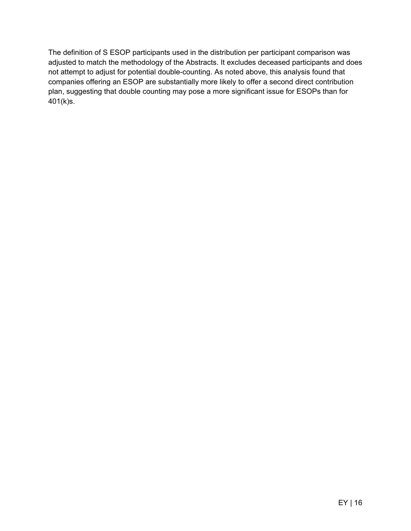The definition of S ESOP participants used in the distribution per participant comparison was adjusted to match the methodology of the Abstracts. It excludes deceased participants and does not attempt to adjust for potential double-counting. As noted above, this analysis found that companies offering an ESOP are substantially more likely to offer a second direct contribution plan, suggesting that double counting may pose a more significant issue for ESOPs than for 401(k)s.